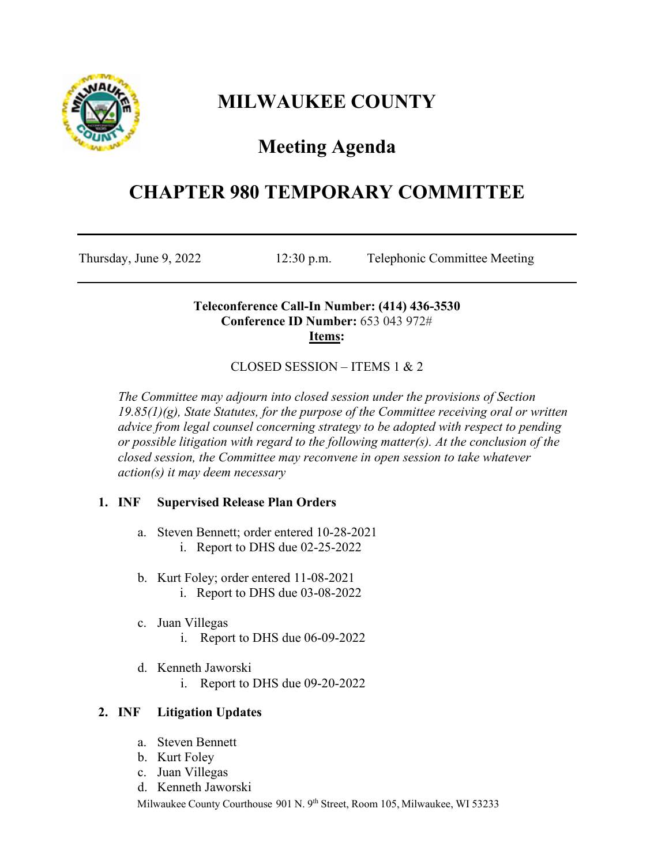

# **MILWAUKEE COUNTY**

# **Meeting Agenda**

## **CHAPTER 980 TEMPORARY COMMITTEE**

Thursday, June 9, 2022 12:30 p.m. Telephonic Committee Meeting

## **Teleconference Call-In Number: (414) 436-3530 Conference ID Number:** 653 043 972# **Items:**

## CLOSED SESSION – ITEMS 1 & 2

*The Committee may adjourn into closed session under the provisions of Section 19.85(1)(g), State Statutes, for the purpose of the Committee receiving oral or written advice from legal counsel concerning strategy to be adopted with respect to pending or possible litigation with regard to the following matter(s). At the conclusion of the closed session, the Committee may reconvene in open session to take whatever action(s) it may deem necessary*

## **1. INF Supervised Release Plan Orders**

- a. Steven Bennett; order entered 10-28-2021 i. Report to DHS due 02-25-2022
- b. Kurt Foley; order entered 11-08-2021 i. Report to DHS due 03-08-2022
- c. Juan Villegas
	- i. Report to DHS due 06-09-2022
- d. Kenneth Jaworski
	- i. Report to DHS due 09-20-2022

## **2. INF Litigation Updates**

- a. Steven Bennett
- b. Kurt Foley
- c. Juan Villegas
- d. Kenneth Jaworski

Milwaukee County Courthouse 901 N. 9th Street, Room 105, Milwaukee, WI 53233